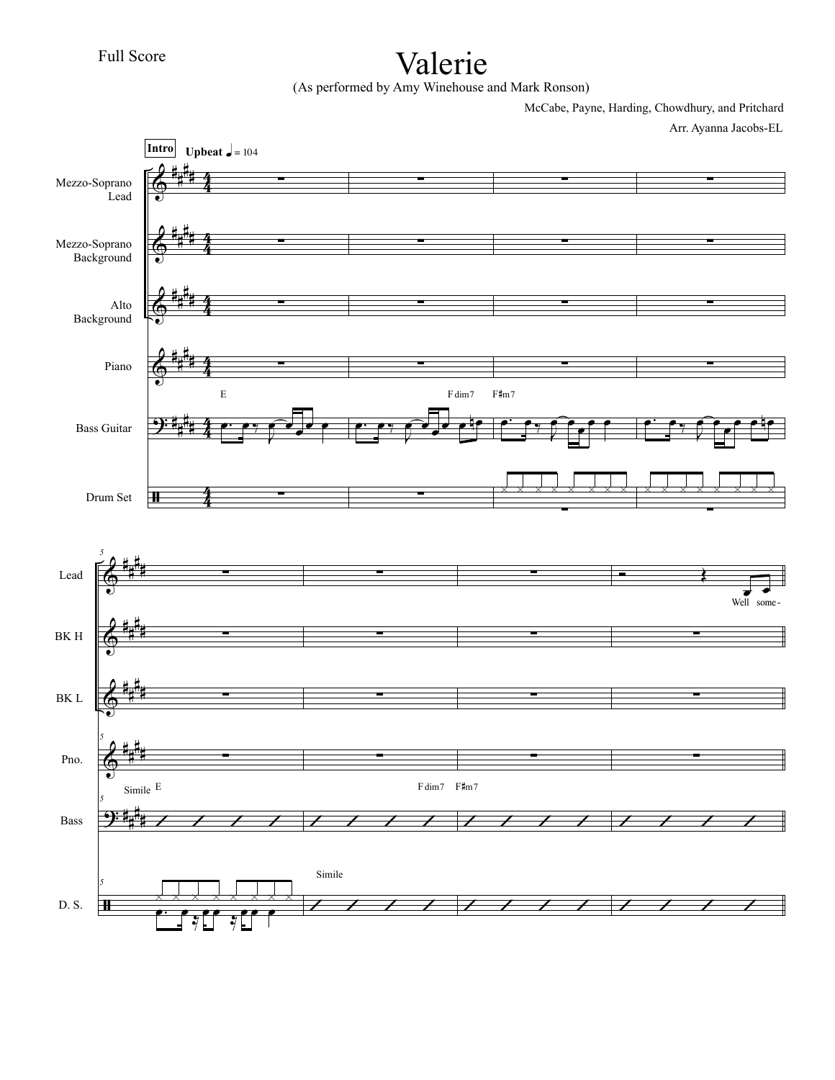## Valerie

(As performed by Amy Winehouse and Mark Ronson)

McCabe, Payne, Harding, Chowdhury, and Pritchard

Arr. Ayanna Jacobs-EL

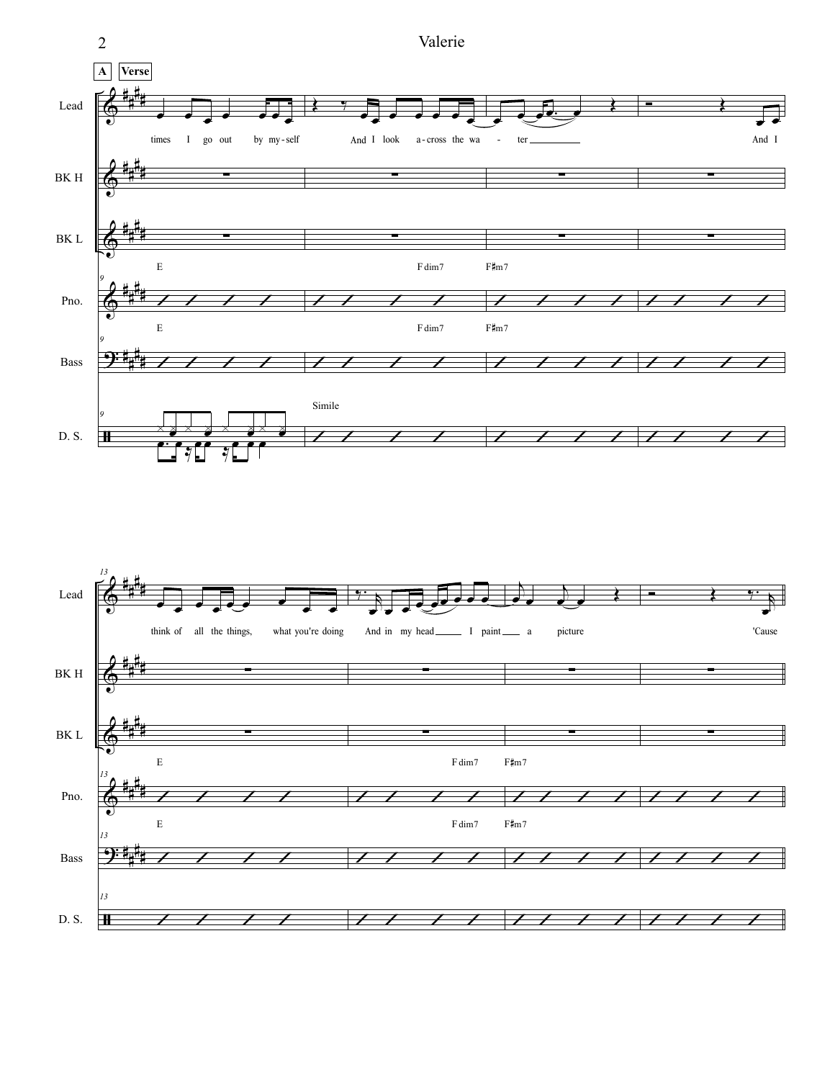

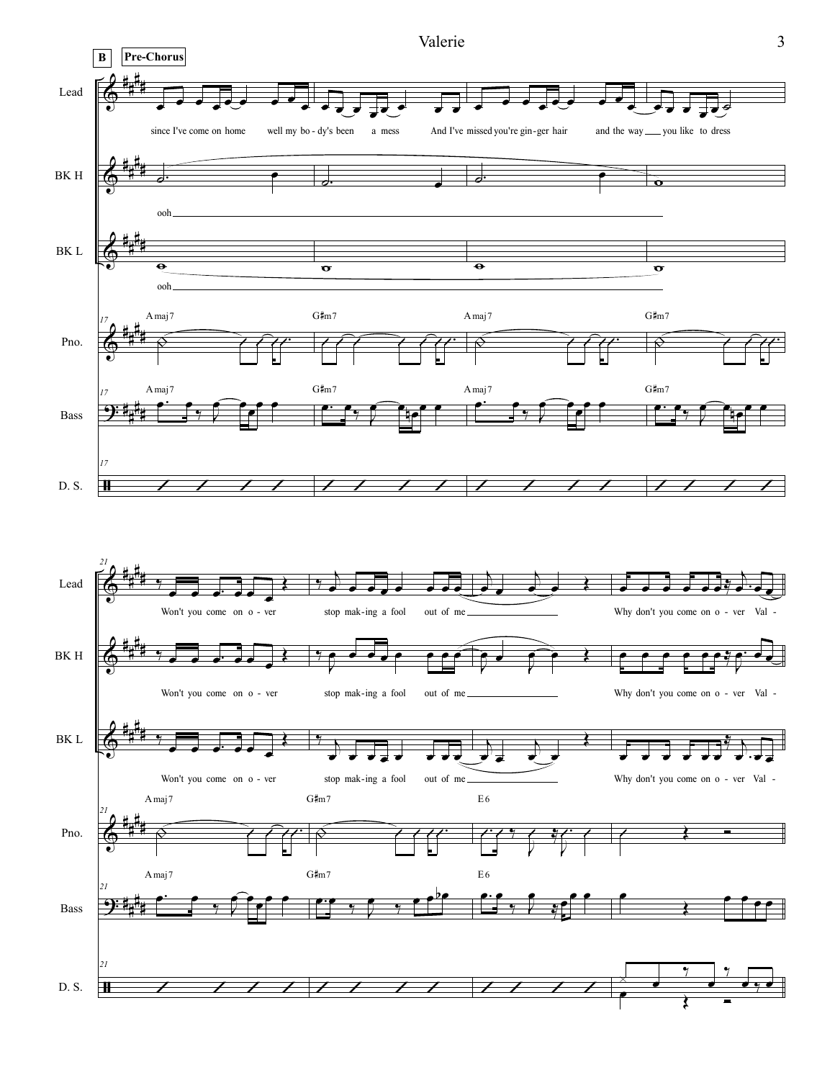

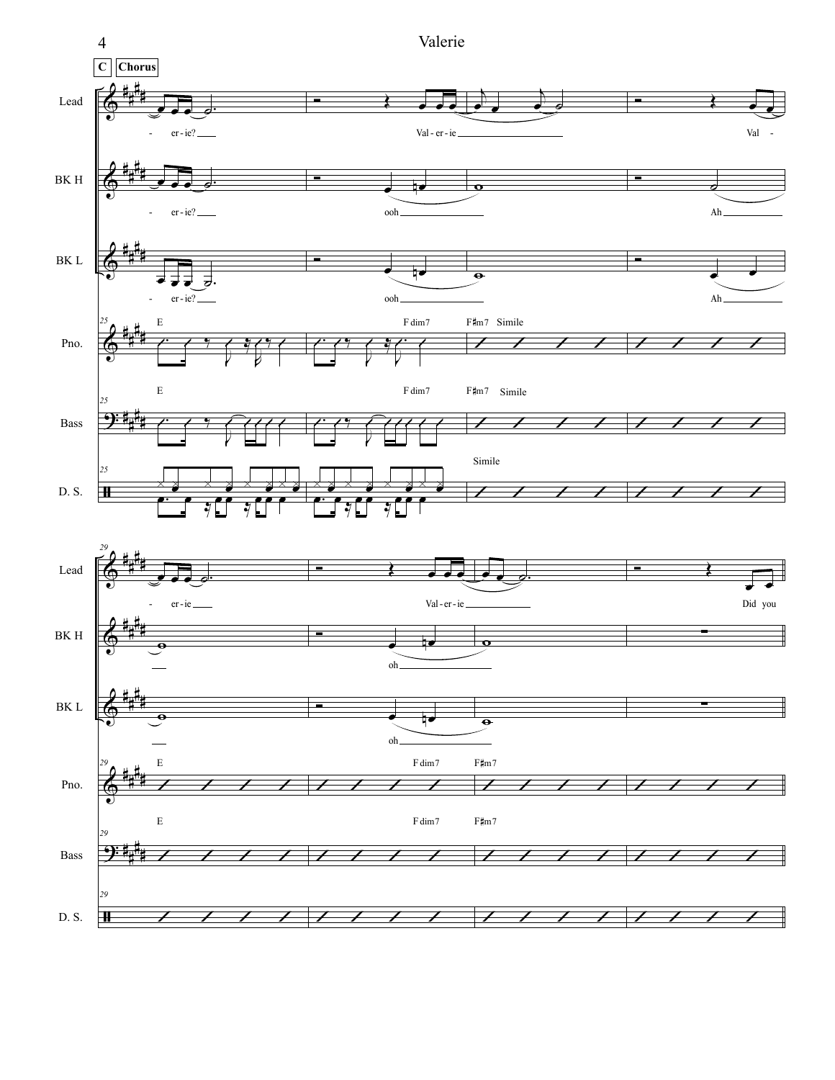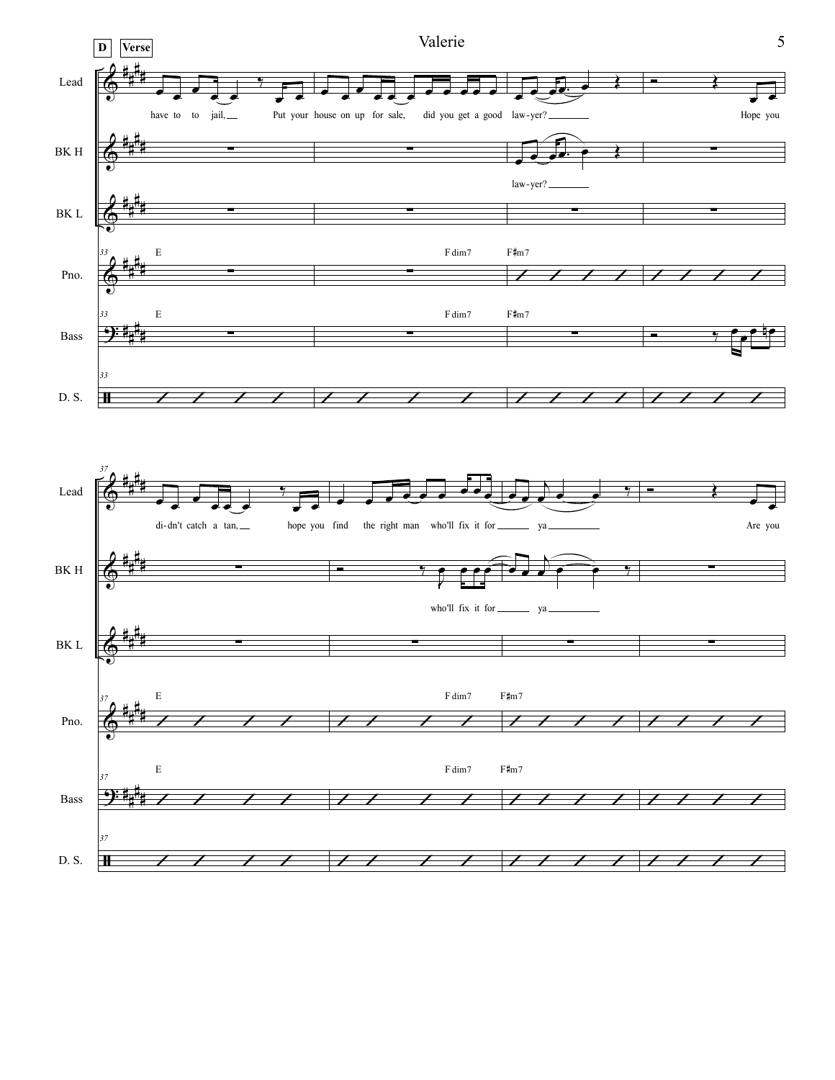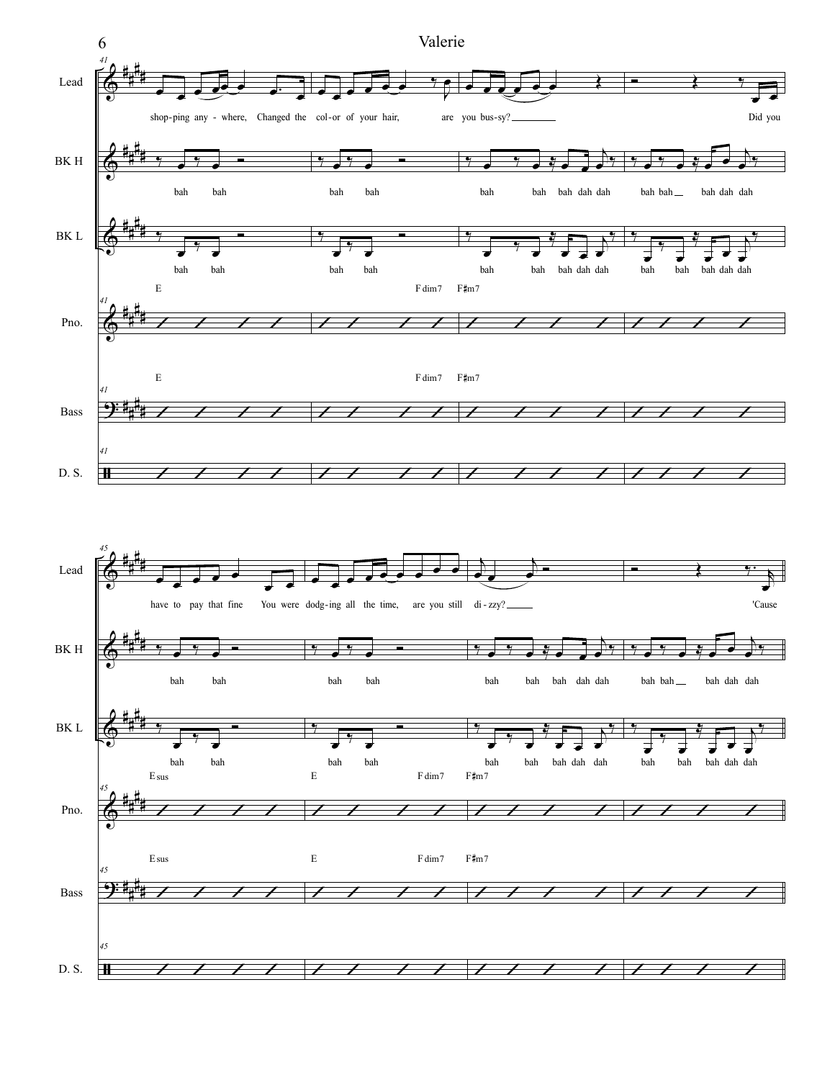

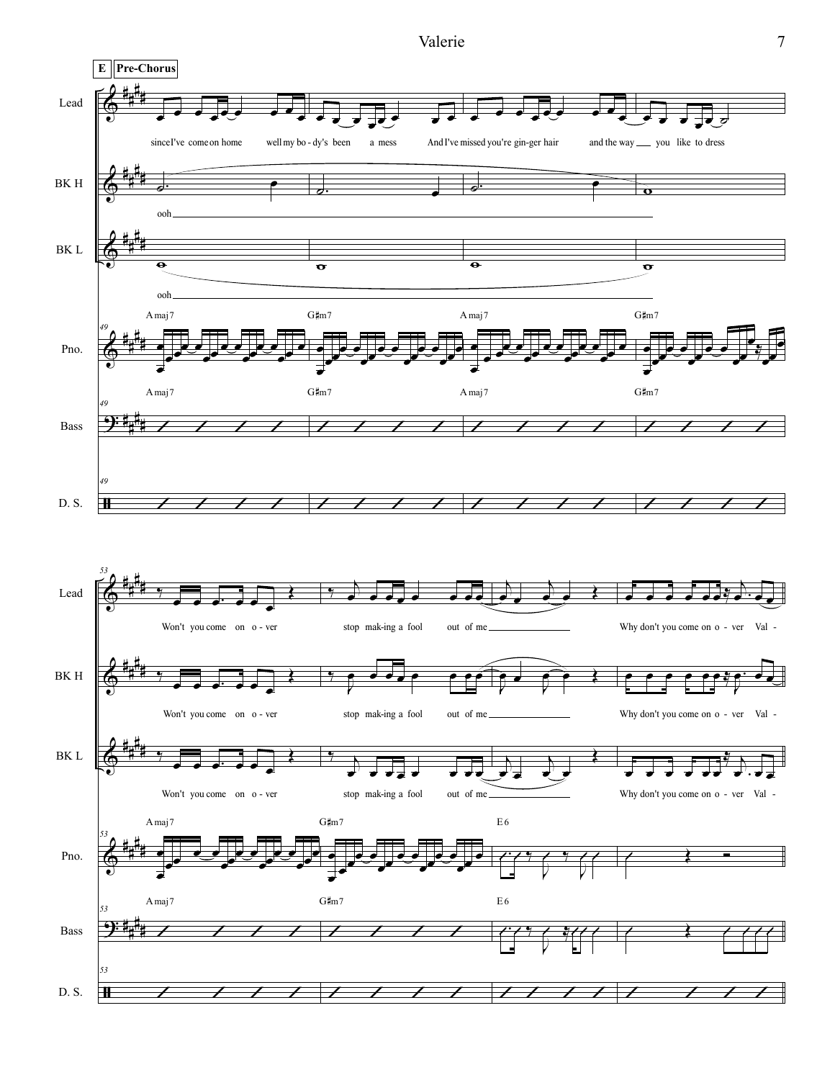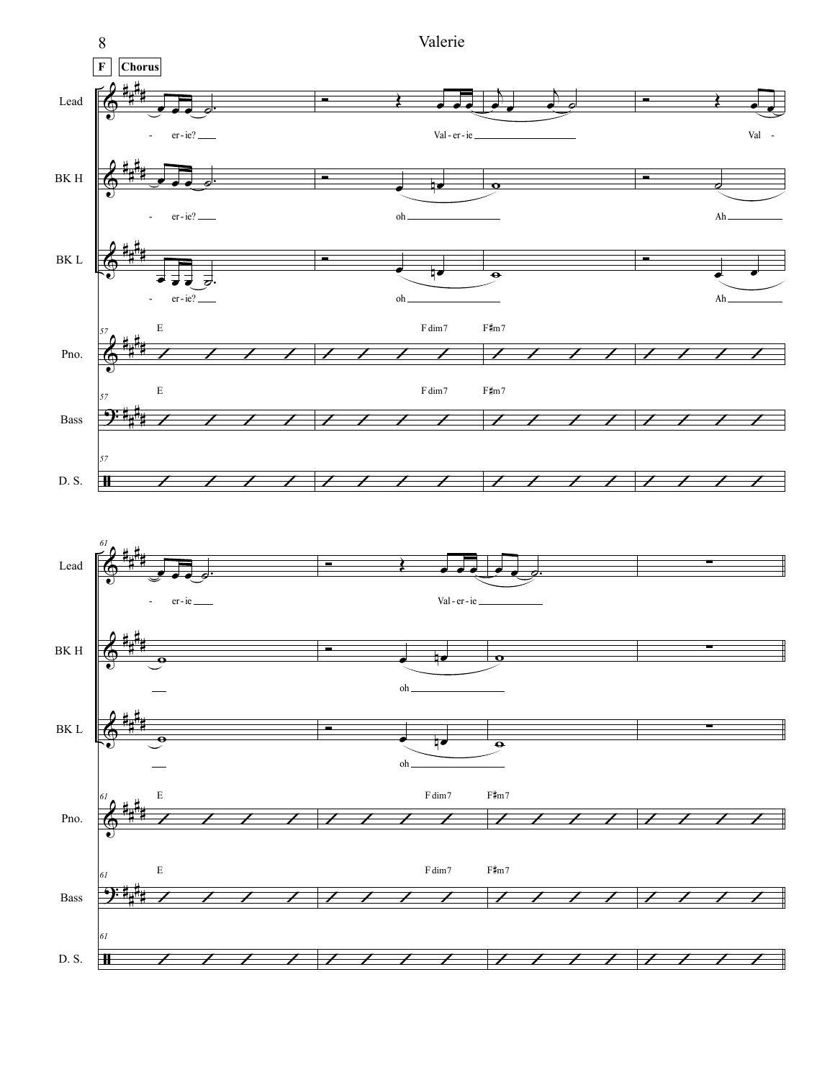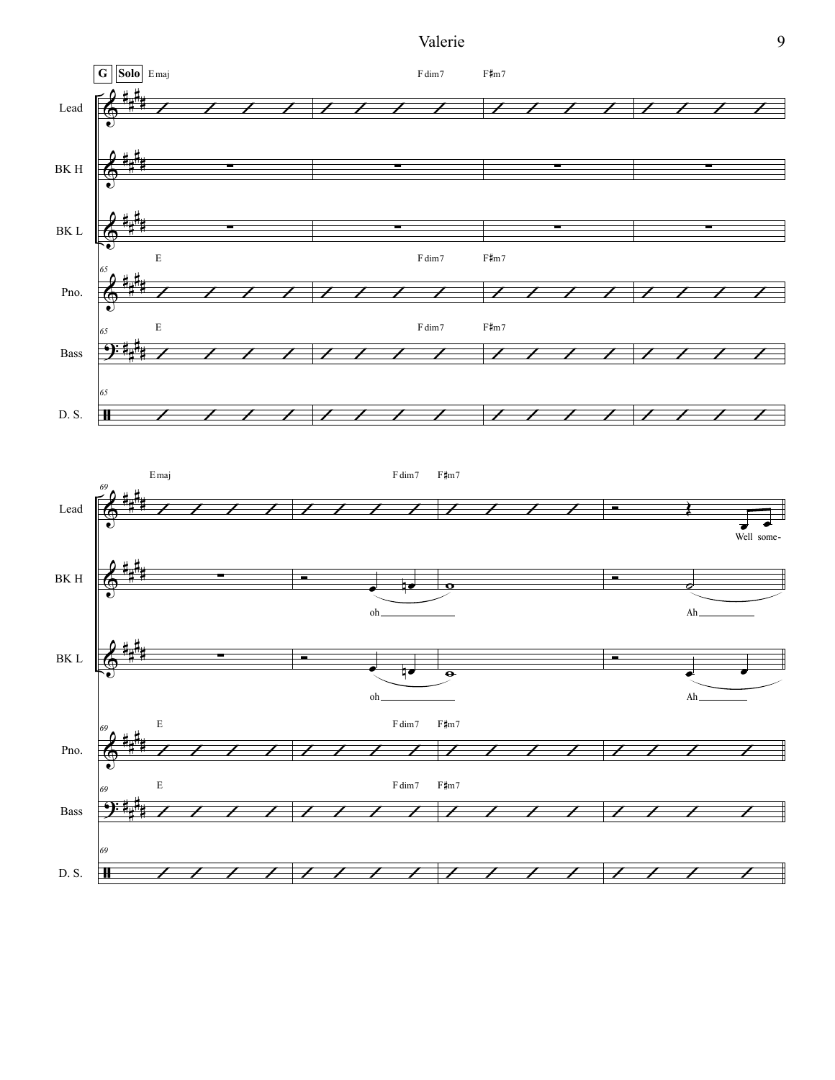## Valerie



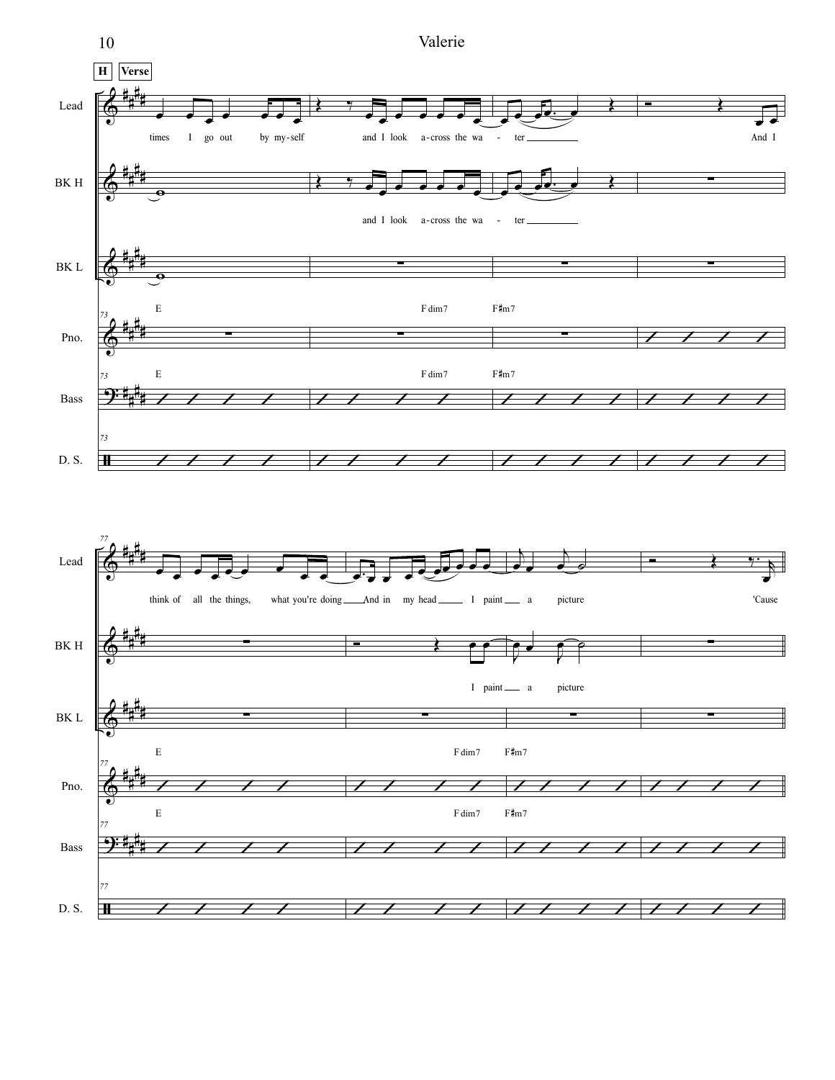

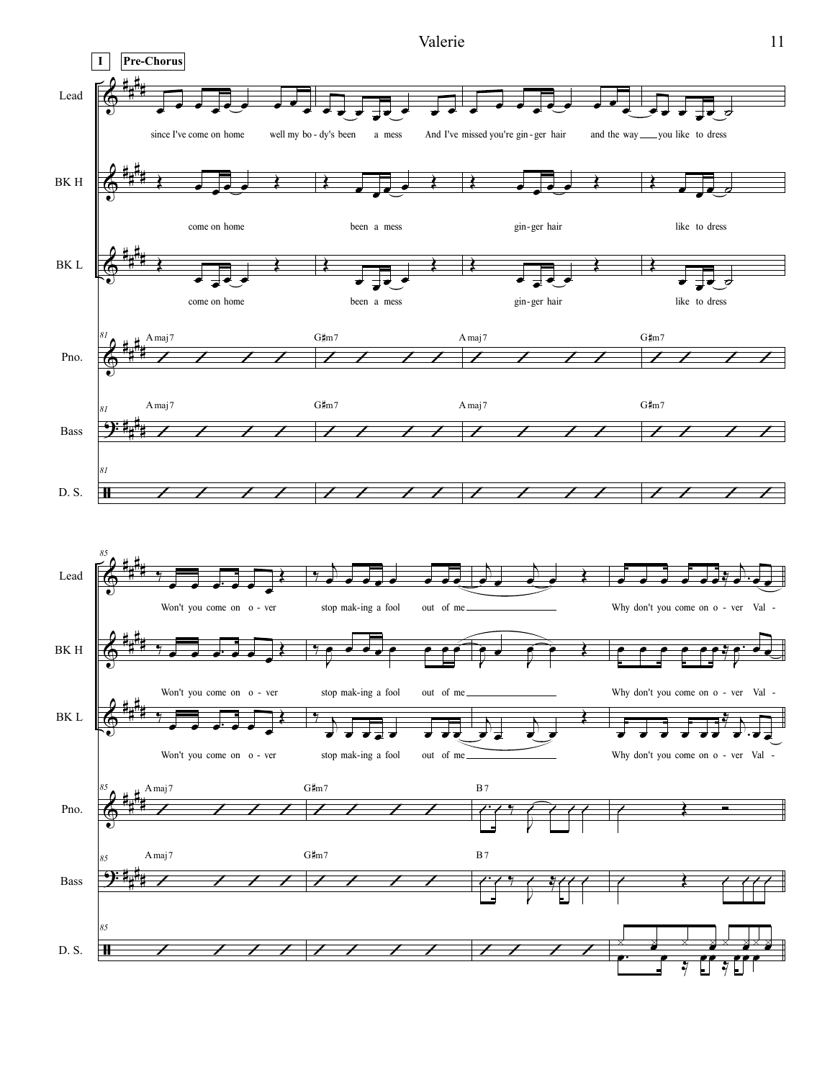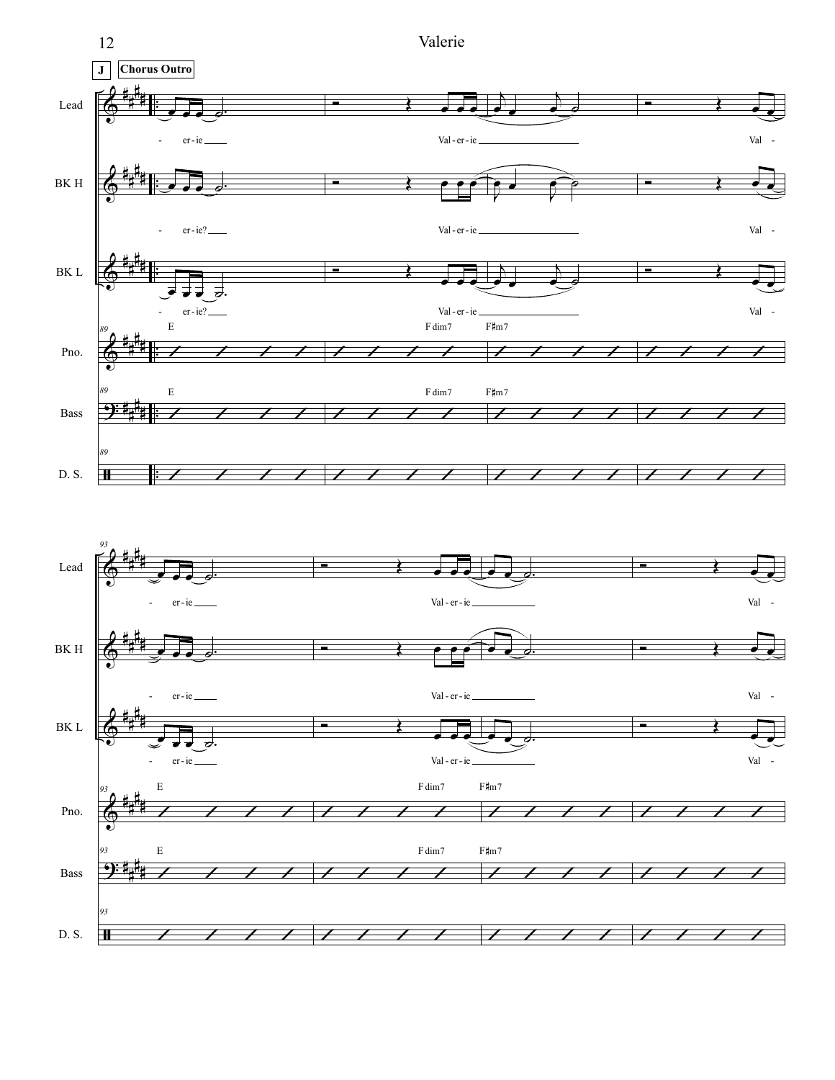